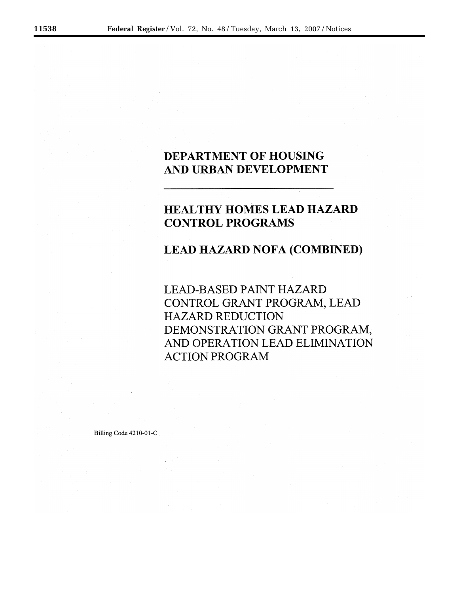## DEPARTMENT OF HOUSING AND URBAN DEVELOPMENT

# **HEALTHY HOMES LEAD HAZARD CONTROL PROGRAMS**

## **LEAD HAZARD NOFA (COMBINED)**

**LEAD-BASED PAINT HAZARD** CONTROL GRANT PROGRAM, LEAD **HAZARD REDUCTION** DEMONSTRATION GRANT PROGRAM, AND OPERATION LEAD ELIMINATION **ACTION PROGRAM** 

Billing Code 4210-01-C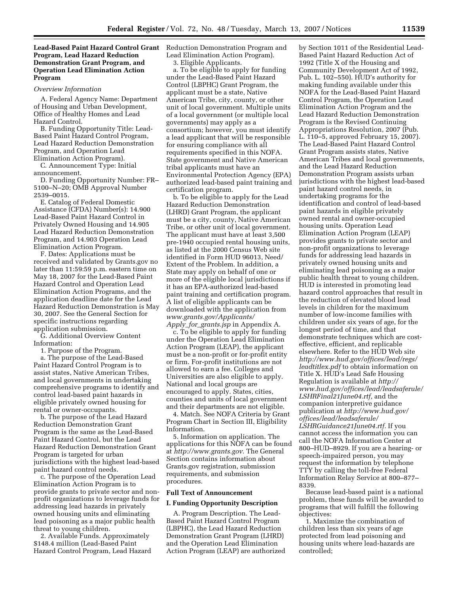## **Lead-Based Paint Hazard Control Grant Program, Lead Hazard Reduction Demonstration Grant Program, and Operation Lead Elimination Action Program**

#### *Overview Information*

A. Federal Agency Name: Department of Housing and Urban Development, Office of Healthy Homes and Lead Hazard Control.

B. Funding Opportunity Title: Lead-Based Paint Hazard Control Program, Lead Hazard Reduction Demonstration Program, and Operation Lead Elimination Action Program).

C. Announcement Type: Initial announcement.

D. Funding Opportunity Number: FR– 5100–N–20; OMB Approval Number 2539–0015.

E. Catalog of Federal Domestic Assistance (CFDA) Number(s): 14.900 Lead-Based Paint Hazard Control in Privately Owned Housing and 14.905 Lead Hazard Reduction Demonstration Program, and 14.903 Operation Lead Elimination Action Program.

F. Dates: Applications must be received and validated by Grants.gov no later than 11:59:59 p.m. eastern time on May 18, 2007 for the Lead-Based Paint Hazard Control and Operation Lead Elimination Action Programs, and the application deadline date for the Lead Hazard Reduction Demonstration is May 30, 2007. See the General Section for specific instructions regarding application submission.

G. Additional Overview Content Information:

1. Purpose of the Program.

a. The purpose of the Lead-Based Paint Hazard Control Program is to assist states, Native American Tribes, and local governments in undertaking comprehensive programs to identify and control lead-based paint hazards in eligible privately owned housing for rental or owner-occupants.

b. The purpose of the Lead Hazard Reduction Demonstration Grant Program is the same as the Lead-Based Paint Hazard Control, but the Lead Hazard Reduction Demonstration Grant Program is targeted for urban jurisdictions with the highest lead-based paint hazard control needs.

c. The purpose of the Operation Lead Elimination Action Program is to provide grants to private sector and nonprofit organizations to leverage funds for addressing lead hazards in privately owned housing units and eliminating lead poisoning as a major public health threat to young children.

2. Available Funds. Approximately \$148.4 million (Lead-Based Paint Hazard Control Program, Lead Hazard Reduction Demonstration Program and Lead Elimination Action Program).

3. Eligible Applicants.

a. To be eligible to apply for funding under the Lead-Based Paint Hazard Control (LBPHC) Grant Program, the applicant must be a state, Native American Tribe, city, county, or other unit of local government. Multiple units of a local government (or multiple local governments) may apply as a consortium; however, you must identify a lead applicant that will be responsible for ensuring compliance with all requirements specified in this NOFA. State government and Native American tribal applicants must have an Environmental Protection Agency (EPA) authorized lead-based paint training and certification program.

b. To be eligible to apply for the Lead Hazard Reduction Demonstration (LHRD) Grant Program, the applicant must be a city, county, Native American Tribe, or other unit of local government. The applicant must have at least 3,500 pre-1940 occupied rental housing units, as listed at the 2000 Census Web site identified in Form HUD 96013, Need/ Extent of the Problem. In addition, a State may apply on behalf of one or more of the eligible local jurisdictions if it has an EPA-authorized lead-based paint training and certification program. A list of eligible applicants can be downloaded with the application from *www.grants.gov/Applicants/ Apply*\_*for*\_*grants.jsp* in Appendix A.

c. To be eligible to apply for funding under the Operation Lead Elimination Action Program (LEAP), the applicant must be a non-profit or for-profit entity or firm. For-profit institutions are not allowed to earn a fee. Colleges and Universities are also eligible to apply. National and local groups are encouraged to apply. States, cities, counties and units of local government and their departments are not eligible.

4. Match. See NOFA Criteria by Grant Program Chart in Section III, Eligibility Information.

5. Information on application. The applications for this NOFA can be found at *http://www.grants.gov.* The General Section contains information about Grants.gov registration, submission requirements, and submission procedures.

## **Full Text of Announcement**

#### **I. Funding Opportunity Description**

A. Program Description. The Lead-Based Paint Hazard Control Program (LBPHC), the Lead Hazard Reduction Demonstration Grant Program (LHRD) and the Operation Lead Elimination Action Program (LEAP) are authorized

by Section 1011 of the Residential Lead-Based Paint Hazard Reduction Act of 1992 (Title X of the Housing and Community Development Act of 1992, Pub. L. 102–550). HUD's authority for making funding available under this NOFA for the Lead-Based Paint Hazard Control Program, the Operation Lead Elimination Action Program and the Lead Hazard Reduction Demonstration Program is the Revised Continuing Appropriations Resolution, 2007 (Pub. L. 110–5, approved February 15, 2007). The Lead-Based Paint Hazard Control Grant Program assists states, Native American Tribes and local governments, and the Lead Hazard Reduction Demonstration Program assists urban jurisdictions with the highest lead-based paint hazard control needs, in undertaking programs for the identification and control of lead-based paint hazards in eligible privately owned rental and owner-occupied housing units. Operation Lead Elimination Action Program (LEAP) provides grants to private sector and non-profit organizations to leverage funds for addressing lead hazards in privately owned housing units and eliminating lead poisoning as a major public health threat to young children. HUD is interested in promoting lead hazard control approaches that result in the reduction of elevated blood lead levels in children for the maximum number of low-income families with children under six years of age, for the longest period of time, and that demonstrate techniques which are costeffective, efficient, and replicable elsewhere. Refer to the HUD Web site *http://www.hud.gov/offices/lead/regs/ leadtitlex.pdf* to obtain information on Title X. HUD's Lead Safe Housing Regulation is available at *http:// www.hud.gov/offices/lead/leadsaferule/ LSHRFinal21June04.rtf,* and the companion interpretive guidance publication at *http://www.hud.gov/ offices/lead/leadsaferule/ LSHRGuidance21June04.rtf.* If you cannot access the information you can call the NOFA Information Center at 800–HUD–8929. If you are a hearing- or speech-impaired person, you may request the information by telephone TTY by calling the toll-free Federal Information Relay Service at 800–877– 8339.

Because lead-based paint is a national problem, these funds will be awarded to programs that will fulfill the following objectives:

1. Maximize the combination of children less than six years of age protected from lead poisoning and housing units where lead-hazards are controlled;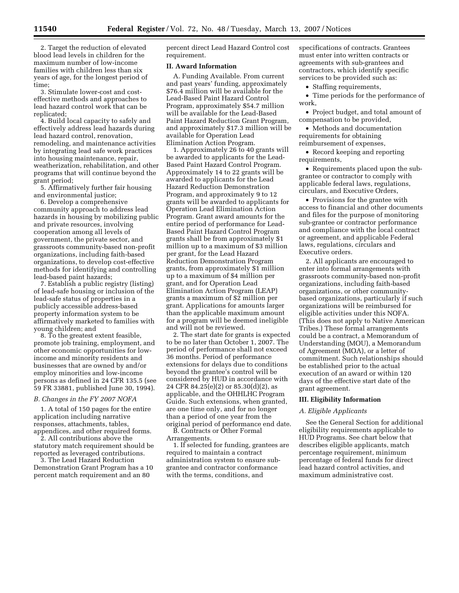2. Target the reduction of elevated blood lead levels in children for the maximum number of low-income families with children less than six years of age, for the longest period of time;

3. Stimulate lower-cost and costeffective methods and approaches to lead hazard control work that can be replicated;

4. Build local capacity to safely and effectively address lead hazards during lead hazard control, renovation, remodeling, and maintenance activities by integrating lead safe work practices into housing maintenance, repair, weatherization, rehabilitation, and other programs that will continue beyond the grant period;

5. Affirmatively further fair housing and environmental justice;

6. Develop a comprehensive community approach to address lead hazards in housing by mobilizing public and private resources, involving cooperation among all levels of government, the private sector, and grassroots community-based non-profit organizations, including faith-based organizations, to develop cost-effective methods for identifying and controlling lead-based paint hazards;

7. Establish a public registry (listing) of lead-safe housing or inclusion of the lead-safe status of properties in a publicly accessible address-based property information system to be affirmatively marketed to families with young children; and

8. To the greatest extent feasible, promote job training, employment, and other economic opportunities for lowincome and minority residents and businesses that are owned by and/or employ minorities and low-income persons as defined in 24 CFR 135.5 (see 59 FR 33881, published June 30, 1994).

## *B. Changes in the FY 2007 NOFA*

1. A total of 150 pages for the entire application including narrative responses, attachments, tables, appendices, and other required forms.

2. All contributions above the statutory match requirement should be reported as leveraged contributions.

3. The Lead Hazard Reduction Demonstration Grant Program has a 10 percent match requirement and an 80

percent direct Lead Hazard Control cost requirement.

## **II. Award Information**

A. Funding Available. From current and past years' funding, approximately \$76.4 million will be available for the Lead-Based Paint Hazard Control Program, approximately \$54.7 million will be available for the Lead-Based Paint Hazard Reduction Grant Program, and approximately \$17.3 million will be available for Operation Lead Elimination Action Program.

1. Approximately 26 to 40 grants will be awarded to applicants for the Lead-Based Paint Hazard Control Program. Approximately 14 to 22 grants will be awarded to applicants for the Lead Hazard Reduction Demonstration Program, and approximately 9 to 12 grants will be awarded to applicants for Operation Lead Elimination Action Program. Grant award amounts for the entire period of performance for Lead-Based Paint Hazard Control Program grants shall be from approximately \$1 million up to a maximum of \$3 million per grant, for the Lead Hazard Reduction Demonstration Program grants, from approximately \$1 million up to a maximum of \$4 million per grant, and for Operation Lead Elimination Action Program (LEAP) grants a maximum of \$2 million per grant. Applications for amounts larger than the applicable maximum amount for a program will be deemed ineligible and will not be reviewed.

2. The start date for grants is expected to be no later than October 1, 2007. The period of performance shall not exceed 36 months. Period of performance extensions for delays due to conditions beyond the grantee's control will be considered by HUD in accordance with 24 CFR 84.25(e)(2) or 85.30(d)(2), as applicable, and the OHHLHC Program Guide. Such extensions, when granted, are one time only, and for no longer than a period of one year from the original period of performance end date.

B. Contracts or Other Formal Arrangements.

1. If selected for funding, grantees are required to maintain a contract administration system to ensure subgrantee and contractor conformance with the terms, conditions, and

specifications of contracts. Grantees must enter into written contracts or agreements with sub-grantees and contractors, which identify specific services to be provided such as:

• Staffing requirements,

• Time periods for the performance of work,

• Project budget, and total amount of compensation to be provided,

• Methods and documentation requirements for obtaining reimbursement of expenses,

• Record keeping and reporting requirements,

• Requirements placed upon the subgrantee or contractor to comply with applicable federal laws, regulations, circulars, and Executive Orders,

• Provisions for the grantee with access to financial and other documents and files for the purpose of monitoring sub-grantee or contractor performance and compliance with the local contract or agreement, and applicable Federal laws, regulations, circulars and Executive orders.

2. All applicants are encouraged to enter into formal arrangements with grassroots community-based non-profit organizations, including faith-based organizations, or other communitybased organizations, particularly if such organizations will be reimbursed for eligible activities under this NOFA. (This does not apply to Native American Tribes.) These formal arrangements could be a contract, a Memorandum of Understanding (MOU), a Memorandum of Agreement (MOA), or a letter of commitment. Such relationships should be established prior to the actual execution of an award or within 120 days of the effective start date of the grant agreement.

#### **III. Eligibility Information**

#### *A. Eligible Applicants*

See the General Section for additional eligibility requirements applicable to HUD Programs. See chart below that describes eligible applicants, match percentage requirement, minimum percentage of federal funds for direct lead hazard control activities, and maximum administrative cost.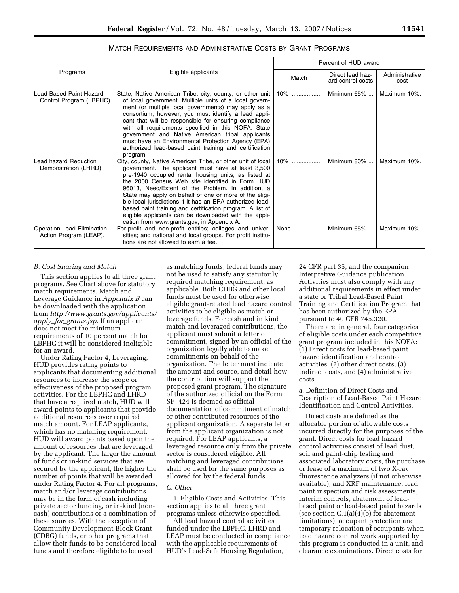## MATCH REQUIREMENTS AND ADMINISTRATIVE COSTS BY GRANT PROGRAMS

| Programs                                                                                                      | Eligible applicants                                                                                                                                                                                                                                                                                                                                                                                                                                                                                                                                                                                                                                                                                                                            | Percent of HUD award |                                       |                              |
|---------------------------------------------------------------------------------------------------------------|------------------------------------------------------------------------------------------------------------------------------------------------------------------------------------------------------------------------------------------------------------------------------------------------------------------------------------------------------------------------------------------------------------------------------------------------------------------------------------------------------------------------------------------------------------------------------------------------------------------------------------------------------------------------------------------------------------------------------------------------|----------------------|---------------------------------------|------------------------------|
|                                                                                                               |                                                                                                                                                                                                                                                                                                                                                                                                                                                                                                                                                                                                                                                                                                                                                | Match                | Direct lead haz-<br>ard control costs | Administrative<br>cost       |
| Lead-Based Paint Hazard<br>Control Program (LBPHC).                                                           | State, Native American Tribe, city, county, or other unit<br>of local government. Multiple units of a local govern-<br>ment (or multiple local governments) may apply as a<br>consortium; however, you must identify a lead appli-<br>cant that will be responsible for ensuring compliance<br>with all requirements specified in this NOFA. State<br>government and Native American tribal applicants<br>must have an Environmental Protection Agency (EPA)<br>authorized lead-based paint training and certification<br>program.                                                                                                                                                                                                             | 10%<br>.             | Minimum $65\%$                        | Maximum 10%.                 |
| Lead hazard Reduction<br>Demonstration (LHRD).<br><b>Operation Lead Elimination</b><br>Action Program (LEAP). | City, county, Native American Tribe, or other unit of local<br>government. The applicant must have at least 3,500<br>pre-1940 occupied rental housing units, as listed at<br>the 2000 Census Web site identified in Form HUD<br>96013, Need/Extent of the Problem. In addition, a<br>State may apply on behalf of one or more of the eligi-<br>ble local jurisdictions if it has an EPA-authorized lead-<br>based paint training and certification program. A list of<br>eligible applicants can be downloaded with the appli-<br>cation from www.grants.gov, in Appendix A.<br>For-profit and non-profit entities; colleges and univer-<br>sities; and national and local groups. For profit institu-<br>tions are not allowed to earn a fee. | $10\%$<br>None       | Minimum $80\%$<br>Minimum $65\%$      | Maximum 10%.<br>Maximum 10%. |

#### *B. Cost Sharing and Match*

This section applies to all three grant programs. See Chart above for statutory match requirements. Match and Leverage Guidance in *Appendix B* can be downloaded with the application from *http://www.grants.gov/applicants/ apply*\_*for*\_*grants.jsp.* If an applicant does not meet the minimum requirements of 10 percent match for LBPHC it will be considered ineligible for an award.

Under Rating Factor 4, Leveraging, HUD provides rating points to applicants that documenting additional resources to increase the scope or effectiveness of the proposed program activities. For the LBPHC and LHRD that have a required match, HUD will award points to applicants that provide additional resources over required match amount. For LEAP applicants, which has no matching requirement, HUD will award points based upon the amount of resources that are leveraged by the applicant. The larger the amount of funds or in-kind services that are secured by the applicant, the higher the number of points that will be awarded under Rating Factor 4. For all programs, match and/or leverage contributions may be in the form of cash including private sector funding, or in-kind (noncash) contributions or a combination of these sources. With the exception of Community Development Block Grant (CDBG) funds, or other programs that allow their funds to be considered local funds and therefore eligible to be used

as matching funds, federal funds may not be used to satisfy any statutorily required matching requirement, as applicable. Both CDBG and other local funds must be used for otherwise eligible grant-related lead hazard control activities to be eligible as match or leverage funds. For cash and in kind match and leveraged contributions, the applicant must submit a letter of commitment, signed by an official of the organization legally able to make commitments on behalf of the organization. The letter must indicate the amount and source, and detail how the contribution will support the proposed grant program. The signature of the authorized official on the Form SF–424 is deemed as official documentation of commitment of match or other contributed resources of the applicant organization. A separate letter from the applicant organization is not required. For LEAP applicants, a leveraged resource only from the private sector is considered eligible. All matching and leveraged contributions shall be used for the same purposes as allowed for by the federal funds.

#### *C. Other*

1. Eligible Costs and Activities. This section applies to all three grant programs unless otherwise specified.

All lead hazard control activities funded under the LBPHC, LHRD and LEAP must be conducted in compliance with the applicable requirements of HUD's Lead-Safe Housing Regulation,

24 CFR part 35, and the companion Interpretive Guidance publication. Activities must also comply with any additional requirements in effect under a state or Tribal Lead-Based Paint Training and Certification Program that has been authorized by the EPA pursuant to 40 CFR 745.320.

There are, in general, four categories of eligible costs under each competitive grant program included in this NOFA: (1) Direct costs for lead-based paint hazard identification and control activities, (2) other direct costs, (3) indirect costs, and (4) administrative costs.

a. Definition of Direct Costs and Description of Lead-Based Paint Hazard Identification and Control Activities.

Direct costs are defined as the allocable portion of allowable costs incurred directly for the purposes of the grant. Direct costs for lead hazard control activities consist of lead dust, soil and paint-chip testing and associated laboratory costs, the purchase or lease of a maximum of two X-ray fluorescence analyzers (if not otherwise available), and XRF maintenance, lead paint inspection and risk assessments, interim controls, abatement of leadbased paint or lead-based paint hazards (see section C.1(a)(4)(b) for abatement limitations), occupant protection and temporary relocation of occupants when lead hazard control work supported by this program is conducted in a unit, and clearance examinations. Direct costs for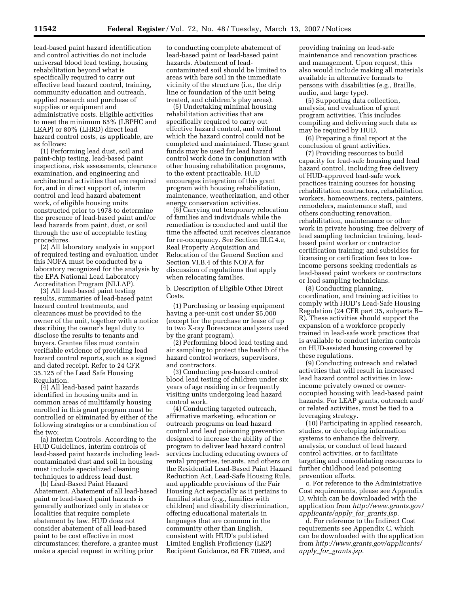lead-based paint hazard identification and control activities do not include universal blood lead testing, housing rehabilitation beyond what is specifically required to carry out effective lead hazard control, training, community education and outreach, applied research and purchase of supplies or equipment and administrative costs. Eligible activities to meet the minimum 65% (LBPHC and LEAP) or 80% (LHRD) direct lead hazard control costs, as applicable, are as follows:

(1) Performing lead dust, soil and paint-chip testing, lead-based paint inspections, risk assessments, clearance examination, and engineering and architectural activities that are required for, and in direct support of, interim control and lead hazard abatement work, of eligible housing units constructed prior to 1978 to determine the presence of lead-based paint and/or lead hazards from paint, dust, or soil through the use of acceptable testing procedures.

(2) All laboratory analysis in support of required testing and evaluation under this NOFA must be conducted by a laboratory recognized for the analysis by the EPA National Lead Laboratory Accreditation Program (NLLAP).

(3) All lead-based paint testing results, summaries of lead-based paint hazard control treatments, and clearances must be provided to the owner of the unit, together with a notice describing the owner's legal duty to disclose the results to tenants and buyers. Grantee files must contain verifiable evidence of providing lead hazard control reports, such as a signed and dated receipt. Refer to 24 CFR 35.125 of the Lead Safe Housing Regulation.

(4) All lead-based paint hazards identified in housing units and in common areas of multifamily housing enrolled in this grant program must be controlled or eliminated by either of the following strategies or a combination of the two;

(a) Interim Controls. According to the HUD Guidelines, interim controls of lead-based paint hazards including leadcontaminated dust and soil in housing must include specialized cleaning techniques to address lead dust.

(b) Lead-Based Paint Hazard Abatement. Abatement of all lead-based paint or lead-based paint hazards is generally authorized only in states or localities that require complete abatement by law. HUD does not consider abatement of all lead-based paint to be cost effective in most circumstances; therefore, a grantee must make a special request in writing prior

to conducting complete abatement of lead-based paint or lead-based paint hazards. Abatement of leadcontaminated soil should be limited to areas with bare soil in the immediate vicinity of the structure (i.e., the drip line or foundation of the unit being treated, and children's play areas).

(5) Undertaking minimal housing rehabilitation activities that are specifically required to carry out effective hazard control, and without which the hazard control could not be completed and maintained. These grant funds may be used for lead hazard control work done in conjunction with other housing rehabilitation programs, to the extent practicable. HUD encourages integration of this grant program with housing rehabilitation, maintenance, weatherization, and other energy conservation activities.

(6) Carrying out temporary relocation of families and individuals while the remediation is conducted and until the time the affected unit receives clearance for re-occupancy. See Section III.C.4.e, Real Property Acquisition and Relocation of the General Section and Section VI.B.4 of this NOFA for discussion of regulations that apply when relocating families.

b. Description of Eligible Other Direct Costs.

(1) Purchasing or leasing equipment having a per-unit cost under \$5,000 (except for the purchase or lease of up to two X-ray florescence analyzers used by the grant program).

(2) Performing blood lead testing and air sampling to protect the health of the hazard control workers, supervisors, and contractors.

(3) Conducting pre-hazard control blood lead testing of children under six years of age residing in or frequently visiting units undergoing lead hazard control work.

(4) Conducting targeted outreach, affirmative marketing, education or outreach programs on lead hazard control and lead poisoning prevention designed to increase the ability of the program to deliver lead hazard control services including educating owners of rental properties, tenants, and others on the Residential Lead-Based Paint Hazard Reduction Act, Lead-Safe Housing Rule, and applicable provisions of the Fair Housing Act especially as it pertains to familial status (e.g., families with children) and disability discrimination, offering educational materials in languages that are common in the community other than English, consistent with HUD's published Limited English Proficiency (LEP) Recipient Guidance, 68 FR 70968, and

providing training on lead-safe maintenance and renovation practices and management. Upon request, this also would include making all materials available in alternative formats to persons with disabilities (e.g., Braille, audio, and large type).

(5) Supporting data collection, analysis, and evaluation of grant program activities. This includes compiling and delivering such data as may be required by HUD.

(6) Preparing a final report at the conclusion of grant activities.

(7) Providing resources to build capacity for lead-safe housing and lead hazard control, including free delivery of HUD-approved lead-safe work practices training courses for housing rehabilitation contractors, rehabilitation workers, homeowners, renters, painters, remodelers, maintenance staff, and others conducting renovation, rehabilitation, maintenance or other work in private housing; free delivery of lead sampling technician training, leadbased paint worker or contractor certification training; and subsidies for licensing or certification fees to lowincome persons seeking credentials as lead-based paint workers or contractors or lead sampling technicians.

(8) Conducting planning, coordination, and training activities to comply with HUD's Lead-Safe Housing Regulation (24 CFR part 35, subparts B– R). These activities should support the expansion of a workforce properly trained in lead-safe work practices that is available to conduct interim controls on HUD-assisted housing covered by these regulations.

(9) Conducting outreach and related activities that will result in increased lead hazard control activities in lowincome privately owned or owneroccupied housing with lead-based paint hazards. For LEAP grants, outreach and/ or related activities, must be tied to a leveraging strategy.

(10) Participating in applied research, studies, or developing information systems to enhance the delivery, analysis, or conduct of lead hazard control activities, or to facilitate targeting and consolidating resources to further childhood lead poisoning prevention efforts.

c. For reference to the Administrative Cost requirements, please see Appendix D, which can be downloaded with the application from *http://www.grants.gov/ applicants/apply*\_*for*\_*grants.jsp.* 

d. For reference to the Indirect Cost requirements see Appendix C, which can be downloaded with the application from *http://www.grants.gov/applicants/ apply*\_*for*\_*grants.jsp.*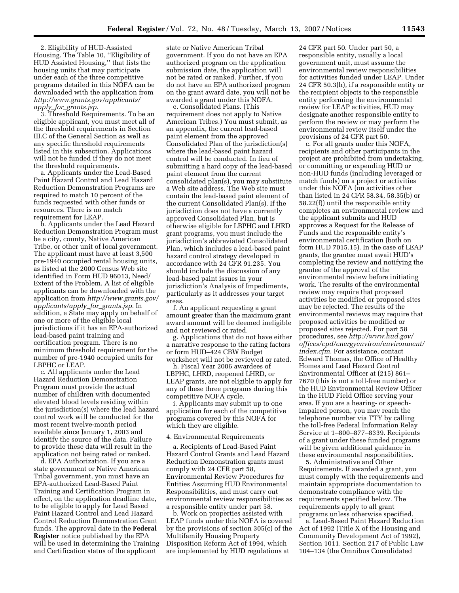2. Eligibility of HUD-Assisted Housing. The Table 10, ''Eligibility of HUD Assisted Housing,'' that lists the housing units that may participate under each of the three competitive programs detailed in this NOFA can be downloaded with the application from *http://www.grants.gov/applicants/ apply*\_*for*\_*grants.jsp.* 

3. Threshold Requirements. To be an eligible applicant, you must meet all of the threshold requirements in Section III.C of the General Section as well as any specific threshold requirements listed in this subsection. Applications will not be funded if they do not meet the threshold requirements.

a. Applicants under the Lead-Based Paint Hazard Control and Lead Hazard Reduction Demonstration Programs are required to match 10 percent of the funds requested with other funds or resources. There is no match requirement for LEAP.

b. Applicants under the Lead Hazard Reduction Demonstration Program must be a city, county, Native American Tribe, or other unit of local government. The applicant must have at least 3,500 pre-1940 occupied rental housing units, as listed at the 2000 Census Web site identified in Form HUD 96013, Need/ Extent of the Problem. A list of eligible applicants can be downloaded with the application from *http://www.grants.gov/ applicants/apply*\_*for*\_*grants.jsp.* In addition, a State may apply on behalf of one or more of the eligible local jurisdictions if it has an EPA-authorized lead-based paint training and certification program. There is no minimum threshold requirement for the number of pre-1940 occupied units for LBPHC or LEAP.

c. All applicants under the Lead Hazard Reduction Demonstration Program must provide the actual number of children with documented elevated blood levels residing within the jurisdiction(s) where the lead hazard control work will be conducted for the most recent twelve-month period available since January 1, 2003 and identify the source of the data. Failure to provide these data will result in the application not being rated or ranked.

d. EPA Authorization. If you are a state government or Native American Tribal government, you must have an EPA-authorized Lead-Based Paint Training and Certification Program in effect, on the application deadline date, to be eligible to apply for Lead Based Paint Hazard Control and Lead Hazard Control Reduction Demonstration Grant funds. The approval date in the **Federal Register** notice published by the EPA will be used in determining the Training and Certification status of the applicant

state or Native American Tribal government. If you do not have an EPA authorized program on the application submission date, the application will not be rated or ranked. Further, if you do not have an EPA authorized program on the grant award date, you will not be awarded a grant under this NOFA.

e. Consolidated Plans. (This requirement does not apply to Native American Tribes.) You must submit, as an appendix, the current lead-based paint element from the approved Consolidated Plan of the jurisdiction(s) where the lead-based paint hazard control will be conducted. In lieu of submitting a hard copy of the lead-based paint element from the current consolidated plan(s), you may substitute a Web site address. The Web site must contain the lead-based paint element of the current Consolidated Plan(s). If the jurisdiction does not have a currently approved Consolidated Plan, but is otherwise eligible for LBPHC and LHRD grant programs, you must include the jurisdiction's abbreviated Consolidated Plan, which includes a lead-based paint hazard control strategy developed in accordance with 24 CFR 91.235. You should include the discussion of any lead-based paint issues in your jurisdiction's Analysis of Impediments, particularly as it addresses your target areas.

f. An applicant requesting a grant amount greater than the maximum grant award amount will be deemed ineligible and not reviewed or rated.

g. Applications that do not have either a narrative response to the rating factors or form HUD–424 CBW Budget worksheet will not be reviewed or rated.

h. Fiscal Year 2006 awardees of LBPHC, LHRD, reopened LHRD, or LEAP grants, are not eligible to apply for any of these three programs during this competitive NOFA cycle.

i. Applicants may submit up to one application for each of the competitive programs covered by this NOFA for which they are eligible.

## 4. Environmental Requirements

a. Recipients of Lead-Based Paint Hazard Control Grants and Lead Hazard Reduction Demonstration grants must comply with 24 CFR part 58, Environmental Review Procedures for Entities Assuming HUD Environmental Responsibilities, and must carry out environmental review responsibilities as a responsible entity under part 58.

b. Work on properties assisted with LEAP funds under this NOFA is covered by the provisions of section 305(c) of the Multifamily Housing Property Disposition Reform Act of 1994, which are implemented by HUD regulations at

24 CFR part 50. Under part 50, a responsible entity, usually a local government unit, must assume the environmental review responsibilities for activities funded under LEAP. Under 24 CFR 50.3(h), if a responsible entity or the recipient objects to the responsible entity performing the environmental review for LEAP activities, HUD may designate another responsible entity to perform the review or may perform the environmental review itself under the provisions of 24 CFR part 50.

c. For all grants under this NOFA, recipients and other participants in the project are prohibited from undertaking, or committing or expending HUD or non-HUD funds (including leveraged or match funds) on a project or activities under this NOFA (on activities other than listed in 24 CFR 58.34, 58.35(b) or 58.22(f)) until the responsible entity completes an environmental review and the applicant submits and HUD approves a Request for the Release of Funds and the responsible entity's environmental certification (both on form HUD 7015.15). In the case of LEAP grants, the grantee must await HUD's completing the review and notifying the grantee of the approval of the environmental review before initiating work. The results of the environmental review may require that proposed activities be modified or proposed sites may be rejected. The results of the environmental reviews may require that proposed activities be modified or proposed sites rejected. For part 58 procedures, see *http://www.hud.gov/ offices/cpd/energyenviron/environment/ index.cfm.* For assistance, contact Edward Thomas, the Office of Healthy Homes and Lead Hazard Control Environmental Officer at (215) 861– 7670 (this is not a toll-free number) or the HUD Environmental Review Officer in the HUD Field Office serving your area. If you are a hearing- or speechimpaired person, you may reach the telephone number via TTY by calling the toll-free Federal Information Relay Service at 1–800–877–8339. Recipients of a grant under these funded programs will be given additional guidance in these environmental responsibilities.

5. Administrative and Other Requirements. If awarded a grant, you must comply with the requirements and maintain appropriate documentation to demonstrate compliance with the requirements specified below. The requirements apply to all grant programs unless otherwise specified.

a. Lead-Based Paint Hazard Reduction Act of 1992 (Title X of the Housing and Community Development Act of 1992), Section 1011. Section 217 of Public Law 104–134 (the Omnibus Consolidated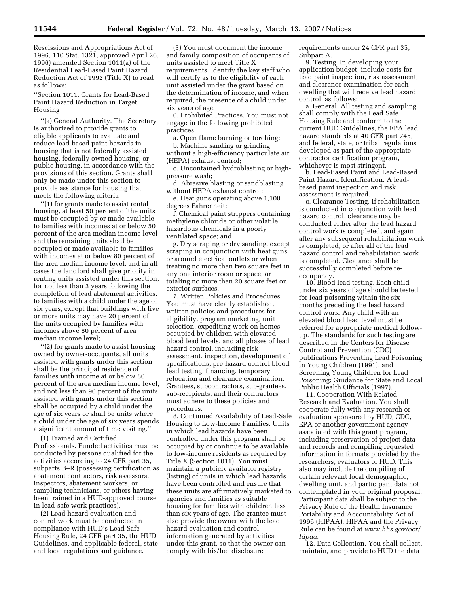Rescissions and Appropriations Act of 1996, 110 Stat. 1321, approved April 26, 1996) amended Section 1011(a) of the Residential Lead-Based Paint Hazard Reduction Act of 1992 (Title X) to read as follows:

''Section 1011. Grants for Lead-Based Paint Hazard Reduction in Target Housing

''(a) General Authority. The Secretary is authorized to provide grants to eligible applicants to evaluate and reduce lead-based paint hazards in housing that is not federally assisted housing, federally owned housing, or public housing, in accordance with the provisions of this section. Grants shall only be made under this section to provide assistance for housing that meets the following criteria—

''(1) for grants made to assist rental housing, at least 50 percent of the units must be occupied by or made available to families with incomes at or below 50 percent of the area median income level and the remaining units shall be occupied or made available to families with incomes at or below 80 percent of the area median income level, and in all cases the landlord shall give priority in renting units assisted under this section, for not less than 3 years following the completion of lead abatement activities, to families with a child under the age of six years, except that buildings with five or more units may have 20 percent of the units occupied by families with incomes above 80 percent of area median income level;

''(2) for grants made to assist housing owned by owner-occupants, all units assisted with grants under this section shall be the principal residence of families with income at or below 80 percent of the area median income level, and not less than 90 percent of the units assisted with grants under this section shall be occupied by a child under the age of six years or shall be units where a child under the age of six years spends a significant amount of time visiting.''

(1) Trained and Certified Professionals. Funded activities must be conducted by persons qualified for the activities according to 24 CFR part 35, subparts B–R (possessing certification as abatement contractors, risk assessors, inspectors, abatement workers, or sampling technicians, or others having been trained in a HUD-approved course in lead-safe work practices).

(2) Lead hazard evaluation and control work must be conducted in compliance with HUD's Lead Safe Housing Rule, 24 CFR part 35, the HUD Guidelines, and applicable federal, state and local regulations and guidance.

(3) You must document the income and family composition of occupants of units assisted to meet Title X requirements. Identify the key staff who will certify as to the eligibility of each unit assisted under the grant based on the determination of income, and when required, the presence of a child under six years of age.

6. Prohibited Practices. You must not engage in the following prohibited practices:

a. Open flame burning or torching;

b. Machine sanding or grinding without a high-efficiency particulate air (HEPA) exhaust control;

c. Uncontained hydroblasting or highpressure wash;

d. Abrasive blasting or sandblasting without HEPA exhaust control;

e. Heat guns operating above 1,100 degrees Fahrenheit;

f. Chemical paint strippers containing methylene chloride or other volatile hazardous chemicals in a poorly ventilated space; and

g. Dry scraping or dry sanding, except scraping in conjunction with heat guns or around electrical outlets or when treating no more than two square feet in any one interior room or space, or totaling no more than 20 square feet on exterior surfaces.

7. Written Policies and Procedures. You must have clearly established, written policies and procedures for eligibility, program marketing, unit selection, expediting work on homes occupied by children with elevated blood lead levels, and all phases of lead hazard control, including risk assessment, inspection, development of specifications, pre-hazard control blood lead testing, financing, temporary relocation and clearance examination. Grantees, subcontractors, sub-grantees, sub-recipients, and their contractors must adhere to these policies and procedures.

8. Continued Availability of Lead-Safe Housing to Low-Income Families. Units in which lead hazards have been controlled under this program shall be occupied by or continue to be available to low-income residents as required by Title X (Section 1011). You must maintain a publicly available registry (listing) of units in which lead hazards have been controlled and ensure that these units are affirmatively marketed to agencies and families as suitable housing for families with children less than six years of age. The grantee must also provide the owner with the lead hazard evaluation and control information generated by activities under this grant, so that the owner can comply with his/her disclosure

requirements under 24 CFR part 35, Subpart A.

9. Testing. In developing your application budget, include costs for lead paint inspection, risk assessment, and clearance examination for each dwelling that will receive lead hazard control, as follows:

a. General. All testing and sampling shall comply with the Lead Safe Housing Rule and conform to the current HUD Guidelines, the EPA lead hazard standards at 40 CFR part 745, and federal, state, or tribal regulations developed as part of the appropriate contractor certification program, whichever is most stringent.

b. Lead-Based Paint and Lead-Based Paint Hazard Identification. A leadbased paint inspection and risk assessment is required.

c. Clearance Testing. If rehabilitation is conducted in conjunction with lead hazard control, clearance may be conducted either after the lead hazard control work is completed, and again after any subsequent rehabilitation work is completed, or after all of the lead hazard control and rehabilitation work is completed. Clearance shall be successfully completed before reoccupancy.

10. Blood lead testing. Each child under six years of age should be tested for lead poisoning within the six months preceding the lead hazard control work. Any child with an elevated blood lead level must be referred for appropriate medical followup. The standards for such testing are described in the Centers for Disease Control and Prevention (CDC) publications Preventing Lead Poisoning in Young Children (1991), and Screening Young Children for Lead Poisoning: Guidance for State and Local Public Health Officials (1997).

11. Cooperation With Related Research and Evaluation. You shall cooperate fully with any research or evaluation sponsored by HUD, CDC, EPA or another government agency associated with this grant program, including preservation of project data and records and compiling requested information in formats provided by the researchers, evaluators or HUD. This also may include the compiling of certain relevant local demographic, dwelling unit, and participant data not contemplated in your original proposal. Participant data shall be subject to the Privacy Rule of the Health Insurance Portability and Accountability Act of 1996 (HIPAA). HIPAA and the Privacy Rule can be found at *www.hhs.gov/ocr/ hipaa.* 

12. Data Collection. You shall collect, maintain, and provide to HUD the data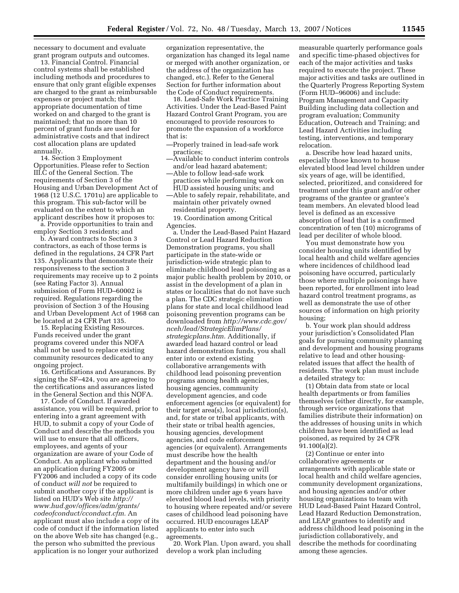necessary to document and evaluate grant program outputs and outcomes.

13. Financial Control. Financial control systems shall be established including methods and procedures to ensure that only grant eligible expenses are charged to the grant as reimbursable expenses or project match; that appropriate documentation of time worked on and charged to the grant is maintained; that no more than 10 percent of grant funds are used for administrative costs and that indirect cost allocation plans are updated annually.

14. Section 3 Employment Opportunities. Please refer to Section III.C of the General Section. The requirements of Section 3 of the Housing and Urban Development Act of 1968 (12 U.S.C. 1701u) are applicable to this program. This sub-factor will be evaluated on the extent to which an applicant describes how it proposes to:

a. Provide opportunities to train and employ Section 3 residents; and

b. Award contracts to Section 3 contractors, as each of those terms is defined in the regulations, 24 CFR Part 135. Applicants that demonstrate their responsiveness to the section 3 requirements may receive up to 2 points (see Rating Factor 3). Annual submission of Form HUD–60002 is required. Regulations regarding the provision of Section 3 of the Housing and Urban Development Act of 1968 can be located at 24 CFR Part 135.

15. Replacing Existing Resources. Funds received under the grant programs covered under this NOFA shall not be used to replace existing community resources dedicated to any ongoing project.

16. Certifications and Assurances. By signing the SF–424, you are agreeing to the certifications and assurances listed in the General Section and this NOFA.

17. Code of Conduct. If awarded assistance, you will be required, prior to entering into a grant agreement with HUD, to submit a copy of your Code of Conduct and describe the methods you will use to ensure that all officers, employees, and agents of your organization are aware of your Code of Conduct. An applicant who submitted an application during FY2005 or FY2006 and included a copy of its code of conduct *will not* be required to submit another copy if the applicant is listed on HUD's Web site *http:// www.hud.gov/offices/adm/grants/ codeofconduct/cconduct.cfm.* An applicant must also include a copy of its code of conduct if the information listed on the above Web site has changed (e.g., the person who submitted the previous application is no longer your authorized

organization representative, the organization has changed its legal name or merged with another organization, or the address of the organization has changed, etc.). Refer to the General Section for further information about the Code of Conduct requirements.

18. Lead-Safe Work Practice Training Activities. Under the Lead-Based Paint Hazard Control Grant Program, you are encouraged to provide resources to promote the expansion of a workforce that is:

- —Properly trained in lead-safe work practices;
- —Available to conduct interim controls and/or lead hazard abatement;
- —Able to follow lead-safe work practices while performing work on HUD assisted housing units; and
- —Able to safely repair, rehabilitate, and maintain other privately owned residential property.

19. Coordination among Critical Agencies.

a. Under the Lead-Based Paint Hazard Control or Lead Hazard Reduction Demonstration programs, you shall participate in the state-wide or jurisdiction-wide strategic plan to eliminate childhood lead poisoning as a major public health problem by 2010, or assist in the development of a plan in states or localities that do not have such a plan. The CDC strategic elimination plans for state and local childhood lead poisoning prevention programs can be downloaded from *http://www.cdc.gov/ nceh/lead/StrategicElimPlans/ strategicplans.htm.* Additionally, if awarded lead hazard control or lead hazard demonstration funds, you shall enter into or extend existing collaborative arrangements with childhood lead poisoning prevention programs among health agencies, housing agencies, community development agencies, and code enforcement agencies (or equivalent) for their target area(s), local jurisdiction(s), and, for state or tribal applicants, with their state or tribal health agencies, housing agencies, development agencies, and code enforcement agencies (or equivalent). Arrangements must describe how the health department and the housing and/or development agency have or will consider enrolling housing units (or multifamily buildings) in which one or more children under age 6 years have elevated blood lead levels, with priority to housing where repeated and/or severe cases of childhood lead poisoning have occurred. HUD encourages LEAP applicants to enter into such agreements.

20. Work Plan. Upon award, you shall develop a work plan including

measurable quarterly performance goals and specific time-phased objectives for each of the major activities and tasks required to execute the project. These major activities and tasks are outlined in the Quarterly Progress Reporting System (Form HUD–96006) and include: Program Management and Capacity Building including data collection and program evaluation; Community Education, Outreach and Training; and Lead Hazard Activities including testing, interventions, and temporary relocation.

a. Describe how lead hazard units, especially those known to house elevated blood lead level children under six years of age, will be identified, selected, prioritized, and considered for treatment under this grant and/or other programs of the grantee or grantee's team members. An elevated blood lead level is defined as an excessive absorption of lead that is a confirmed concentration of ten (10) micrograms of lead per deciliter of whole blood.

You must demonstrate how you consider housing units identified by local health and child welfare agencies where incidences of childhood lead poisoning have occurred, particularly those where multiple poisonings have been reported, for enrollment into lead hazard control treatment programs, as well as demonstrate the use of other sources of information on high priority housing;

b. Your work plan should address your jurisdiction's Consolidated Plan goals for pursuing community planning and development and housing programs relative to lead and other housingrelated issues that affect the health of residents. The work plan must include a detailed strategy to:

(1) Obtain data from state or local health departments or from families themselves (either directly, for example, through service organizations that families distribute their information) on the addresses of housing units in which children have been identified as lead poisoned, as required by 24 CFR 91.100(a)(2).

(2) Continue or enter into collaborative agreements or arrangements with applicable state or local health and child welfare agencies, community development organizations, and housing agencies and/or other housing organizations to team with HUD Lead-Based Paint Hazard Control, Lead Hazard Reduction Demonstration, and LEAP grantees to identify and address childhood lead poisoning in the jurisdiction collaboratively, and describe the methods for coordinating among these agencies.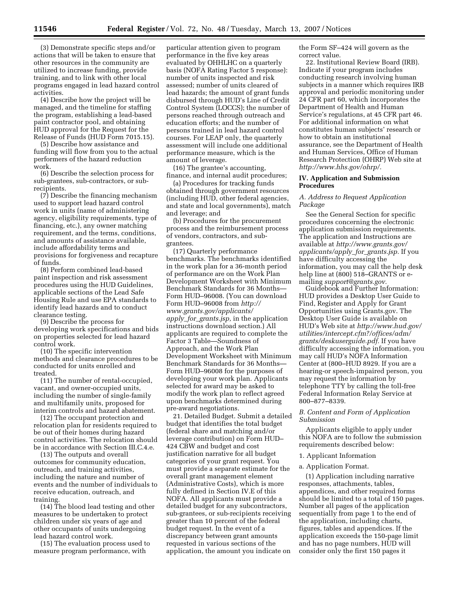(3) Demonstrate specific steps and/or actions that will be taken to ensure that other resources in the community are utilized to increase funding, provide training, and to link with other local programs engaged in lead hazard control activities.

(4) Describe how the project will be managed, and the timeline for staffing the program, establishing a lead-based paint contractor pool, and obtaining HUD approval for the Request for the Release of Funds (HUD Form 7015.15).

(5) Describe how assistance and funding will flow from you to the actual performers of the hazard reduction work.

(6) Describe the selection process for sub-grantees, sub-contractors, or subrecipients.

(7) Describe the financing mechanism used to support lead hazard control work in units (name of administering agency, eligibility requirements, type of financing, etc.), any owner matching requirement, and the terms, conditions, and amounts of assistance available, include affordability terms and provisions for forgiveness and recapture of funds.

(8) Perform combined lead-based paint inspection and risk assessment procedures using the HUD Guidelines, applicable sections of the Lead Safe Housing Rule and use EPA standards to identify lead hazards and to conduct clearance testing.

(9) Describe the process for developing work specifications and bids on properties selected for lead hazard control work.

(10) The specific intervention methods and clearance procedures to be conducted for units enrolled and treated.

(11) The number of rental-occupied, vacant, and owner-occupied units, including the number of single-family and multifamily units, proposed for interim controls and hazard abatement.

(12) The occupant protection and relocation plan for residents required to be out of their homes during hazard control activities. The relocation should be in accordance with Section III.C.4.e.

(13) The outputs and overall outcomes for community education, outreach, and training activities, including the nature and number of events and the number of individuals to receive education, outreach, and training.

(14) The blood lead testing and other measures to be undertaken to protect children under six years of age and other occupants of units undergoing lead hazard control work.

(15) The evaluation process used to measure program performance, with

particular attention given to program performance in the five key areas evaluated by OHHLHC on a quarterly basis (NOFA Rating Factor 5 response): number of units inspected and risk assessed; number of units cleared of lead hazards; the amount of grant funds disbursed through HUD's Line of Credit Control System (LOCCS); the number of persons reached through outreach and education efforts; and the number of persons trained in lead hazard control courses. For LEAP only, the quarterly assessment will include one additional performance measure, which is the amount of leverage.

(16) The grantee's accounting, finance, and internal audit procedures;

(a) Procedures for tracking funds obtained through government resources (including HUD, other federal agencies, and state and local governments), match and leverage; and

(b) Procedures for the procurement process and the reimbursement process of vendors, contractors, and subgrantees.

(17) Quarterly performance benchmarks. The benchmarks identified in the work plan for a 36-month period of performance are on the Work Plan Development Worksheet with Minimum Benchmark Standards for 36 Months— Form HUD–96008. (You can download Form HUD–96008 from *http:// www.grants.gov/applicants/ apply*\_*for*\_*grants.jsp,* in the application instructions download section.) All applicants are required to complete the Factor 3 Table—Soundness of Approach, and the Work Plan Development Worksheet with Minimum Benchmark Standards for 36 Months— Form HUD–96008 for the purposes of developing your work plan. Applicants selected for award may be asked to modify the work plan to reflect agreed upon benchmarks determined during pre-award negotiations.

21. Detailed Budget. Submit a detailed budget that identifies the total budget (federal share and matching and/or leverage contribution) on Form HUD– 424 CBW and budget and cost justification narrative for all budget categories of your grant request. You must provide a separate estimate for the overall grant management element (Administrative Costs), which is more fully defined in Section IV.E of this NOFA. All applicants must provide a detailed budget for any subcontractors, sub-grantees, or sub-recipients receiving greater than 10 percent of the federal budget request. In the event of a discrepancy between grant amounts requested in various sections of the application, the amount you indicate on

the Form SF–424 will govern as the correct value.

22. Institutional Review Board (IRB). Indicate if your program includes conducting research involving human subjects in a manner which requires IRB approval and periodic monitoring under 24 CFR part 60, which incorporates the Department of Health and Human Service's regulations, at 45 CFR part 46. For additional information on what constitutes human subjects' research or how to obtain an institutional assurance, see the Department of Health and Human Services, Office of Human Research Protection (OHRP) Web site at *http://www.hhs.gov/ohrp/.* 

#### **IV. Application and Submission Procedures**

#### *A. Address to Request Application Package*

See the General Section for specific procedures concerning the electronic application submission requirements. The application and Instructions are available at *http://www.grants.gov/ applicants/apply*\_*for*\_*grants.jsp.* If you have difficulty accessing the information, you may call the help desk help line at (800) 518–GRANTS or emailing *support@grants.gov.* 

Guidebook and Further Information: HUD provides a Desktop User Guide to Find, Register and Apply for Grant Opportunities using Grants.gov. The Desktop User Guide is available on HUD's Web site at *http://www.hud.gov/ utilities/intercept.cfm?/offices/adm/ grants/deskuserguide.pdf.* If you have difficulty accessing the information, you may call HUD's NOFA Information Center at (800–HUD 8929. If you are a hearing-or speech-impaired person, you may request the information by telephone TTY by calling the toll-free Federal Information Relay Service at 800–877–8339.

### *B. Content and Form of Application Submission*

Applicants eligible to apply under this NOFA are to follow the submission requirements described below:

- 1. Applicant Information
- a. Application Format.

(1) Application including narrative responses, attachments, tables, appendices, and other required forms should be limited to a total of 150 pages. Number all pages of the application sequentially from page 1 to the end of the application, including charts, figures, tables and appendices. If the application exceeds the 150-page limit and has no page numbers, HUD will consider only the first 150 pages it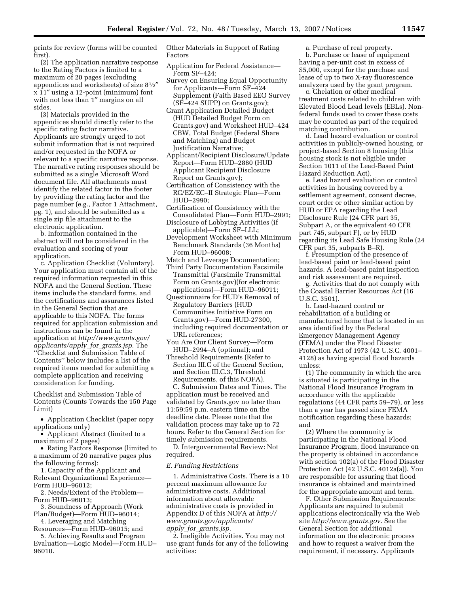prints for review (forms will be counted first).

(2) The application narrative response to the Rating Factors is limited to a maximum of 20 pages (excluding appendices and worksheets) of size 81⁄2″ x 11″ using a 12-point (minimum) font with not less than 1″ margins on all sides.

(3) Materials provided in the appendices should directly refer to the specific rating factor narrative. Applicants are strongly urged to not submit information that is not required and/or requested in the NOFA or relevant to a specific narrative response. The narrative rating responses should be submitted as a single Microsoft Word document file. All attachments must identify the related factor in the footer by providing the rating factor and the page number (e.g., Factor 1 Attachment, pg. 1), and should be submitted as a single zip file attachment to the electronic application.

b. Information contained in the abstract will not be considered in the evaluation and scoring of your application.

c. Application Checklist (Voluntary). Your application must contain all of the required information requested in this NOFA and the General Section. These items include the standard forms, and the certifications and assurances listed in the General Section that are applicable to this NOFA. The forms required for application submission and instructions can be found in the application at *http://www.grants.gov/ applicants/apply*\_*for*\_*grants.jsp.* The ''Checklist and Submission Table of Contents'' below includes a list of the required items needed for submitting a complete application and receiving consideration for funding.

Checklist and Submission Table of Contents (Counts Towards the 150 Page Limit)

• Application Checklist (paper copy applications only)

- Applicant Abstract (limited to a maximum of 2 pages)
- Rating Factors Response (limited to a maximum of 20 narrative pages plus the following forms):
- 1. Capacity of the Applicant and Relevant Organizational Experience— Form HUD–96012;
- 2. Needs/Extent of the Problem— Form HUD–96013;
- 3. Soundness of Approach (Work Plan/Budget)—Form HUD–96014;
- 4. Leveraging and Matching Resources—Form HUD–96015; and

5. Achieving Results and Program Evaluation—Logic Model—Form HUD– 96010.

Other Materials in Support of Rating Factors

- Application for Federal Assistance— Form SF–424;
- Survey on Ensuring Equal Opportunity for Applicants—Form SF–424 Supplement (Faith Based EEO Survey (SF–424 SUPP) on Grants.gov);
- Grant Application Detailed Budget (HUD Detailed Budget Form on Grants.gov) and Worksheet HUD–424 CBW, Total Budget (Federal Share and Matching) and Budget Justification Narrative;
- Applicant/Recipient Disclosure/Update Report—Form HUD–2880 (HUD Applicant Recipient Disclosure Report on Grants.gov);
- Certification of Consistency with the RC/EZ/EC–II Strategic Plan—Form HUD–2990;
- Certification of Consistency with the Consolidated Plan—Form HUD–2991;
- Disclosure of Lobbying Activities (if applicable)—Form SF–LLL;
- Development Worksheet with Minimum Benchmark Standards (36 Months) Form HUD–96008;
- Match and Leverage Documentation;
- Third Party Documentation Facsimile Transmittal (Facsimile Transmittal Form on Grants.gov)(for electronic applications)—Form HUD–96011;
- Questionnaire for HUD's Removal of Regulatory Barriers (HUD Communities Initiative Form on Grants.gov)—Form HUD-27300, including required documentation or URL references;
- You Are Our Client Survey—Form HUD–2994–A (optional); and
- Threshold Requirements (Refer to Section III.C of the General Section, and Section III.C.3, Threshold Requirements, of this NOFA).

C. Submission Dates and Times. The application must be received and validated by Grants.gov no later than 11:59:59 p.m. eastern time on the deadline date. Please note that the validation process may take up to 72 hours. Refer to the General Section for timely submission requirements.

D. Intergovernmental Review: Not required.

#### *E. Funding Restrictions*

1. Administrative Costs. There is a 10 percent maximum allowance for administrative costs. Additional information about allowable administrative costs is provided in Appendix D of this NOFA at *http:// www.grants.gov/applicants/ apply*\_*for*\_*grants.jsp.* 

2. Ineligible Activities. You may not use grant funds for any of the following activities:

a. Purchase of real property. b. Purchase or lease of equipment having a per-unit cost in excess of \$5,000, except for the purchase and lease of up to two X-ray fluorescence analyzers used by the grant program.

c. Chelation or other medical treatment costs related to children with Elevated Blood Lead levels (EBLs). Nonfederal funds used to cover these costs may be counted as part of the required matching contribution.

d. Lead hazard evaluation or control activities in publicly-owned housing, or project-based Section 8 housing (this housing stock is not eligible under Section 1011 of the Lead-Based Paint Hazard Reduction Act).

e. Lead hazard evaluation or control activities in housing covered by a settlement agreement, consent decree, court order or other similar action by HUD or EPA regarding the Lead Disclosure Rule (24 CFR part 35, Subpart A, or the equivalent 40 CFR part 745, subpart F), or by HUD regarding its Lead Safe Housing Rule (24 CFR part 35, subparts B–R).

f. Presumption of the presence of lead-based paint or lead-based paint hazards. A lead-based paint inspection and risk assessment are required.

g. Activities that do not comply with the Coastal Barrier Resources Act (16 U.S.C. 3501).

h. Lead-hazard control or rehabilitation of a building or manufactured home that is located in an area identified by the Federal Emergency Management Agency (FEMA) under the Flood Disaster Protection Act of 1973 (42 U.S.C. 4001– 4128) as having special flood hazards unless:

(1) The community in which the area is situated is participating in the National Flood Insurance Program in accordance with the applicable regulations (44 CFR parts 59–79), or less than a year has passed since FEMA notification regarding these hazards; and

(2) Where the community is participating in the National Flood Insurance Program, flood insurance on the property is obtained in accordance with section 102(a) of the Flood Disaster Protection Act (42 U.S.C. 4012a(a)). You are responsible for assuring that flood insurance is obtained and maintained for the appropriate amount and term.

F. Other Submission Requirements: Applicants are required to submit applications electronically via the Web site *http://www.grants.gov.* See the General Section for additional information on the electronic process and how to request a waiver from the requirement, if necessary. Applicants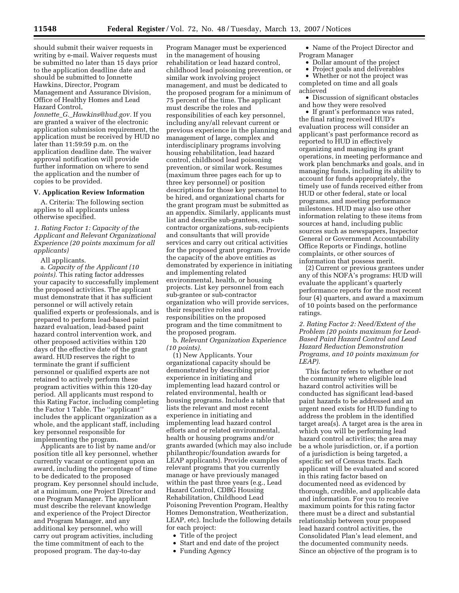should submit their waiver requests in writing by e-mail. Waiver requests must be submitted no later than 15 days prior to the application deadline date and should be submitted to Jonnette Hawkins, Director, Program Management and Assurance Division, Office of Healthy Homes and Lead Hazard Control,

*Jonnette*\_*G.*\_*Hawkins@hud.gov.* If you are granted a waiver of the electronic application submission requirement, the application must be received by HUD no later than 11:59:59 p.m. on the application deadline date. The waiver approval notification will provide further information on where to send the application and the number of copies to be provided.

### **V. Application Review Information**

A. Criteria: The following section applies to all applicants unless otherwise specified.

*1. Rating Factor 1: Capacity of the Applicant and Relevant Organizational Experience (20 points maximum for all applicants)* 

All applicants.

a. *Capacity of the Applicant (10 points).* This rating factor addresses your capacity to successfully implement the proposed activities. The applicant must demonstrate that it has sufficient personnel or will actively retain qualified experts or professionals, and is prepared to perform lead-based paint hazard evaluation, lead-based paint hazard control intervention work, and other proposed activities within 120 days of the effective date of the grant award. HUD reserves the right to terminate the grant if sufficient personnel or qualified experts are not retained to actively perform these program activities within this 120-day period. All applicants must respond to this Rating Factor, including completing the Factor 1 Table. The ''applicant'' includes the applicant organization as a whole, and the applicant staff, including key personnel responsible for implementing the program.

Applicants are to list by name and/or position title all key personnel, whether currently vacant or contingent upon an award, including the percentage of time to be dedicated to the proposed program. Key personnel should include, at a minimum, one Project Director and one Program Manager. The applicant must describe the relevant knowledge and experience of the Project Director and Program Manager, and any additional key personnel, who will carry out program activities, including the time commitment of each to the proposed program. The day-to-day

Program Manager must be experienced in the management of housing rehabilitation or lead hazard control, childhood lead poisoning prevention, or similar work involving project management, and must be dedicated to the proposed program for a minimum of 75 percent of the time. The applicant must describe the roles and responsibilities of each key personnel, including any/all relevant current or previous experience in the planning and management of large, complex and interdisciplinary programs involving housing rehabilitation, lead hazard control, childhood lead poisoning prevention, or similar work. Resumes (maximum three pages each for up to three key personnel) or position descriptions for those key personnel to be hired, and organizational charts for the grant program must be submitted as an appendix. Similarly, applicants must list and describe sub-grantees, subcontractor organizations, sub-recipients and consultants that will provide services and carry out critical activities for the proposed grant program. Provide the capacity of the above entities as demonstrated by experience in initiating and implementing related environmental, health, or housing projects. List key personnel from each sub-grantee or sub-contractor organization who will provide services, their respective roles and responsibilities on the proposed program and the time commitment to the proposed program.

b. *Relevant Organization Experience (10 points).* 

(1) New Applicants. Your organizational capacity should be demonstrated by describing prior experience in initiating and implementing lead hazard control or related environmental, health or housing programs. Include a table that lists the relevant and most recent experience in initiating and implementing lead hazard control efforts and or related environmental, health or housing programs and/or grants awarded (which may also include philanthropic/foundation awards for LEAP applicants). Provide examples of relevant programs that you currently manage or have previously managed within the past three years (e.g., Lead Hazard Control, CDBG Housing Rehabilitation, Childhood Lead Poisoning Prevention Program, Healthy Homes Demonstration, Weatherization, LEAP, etc). Include the following details for each project:

- Title of the project
- Start and end date of the project
- Funding Agency
- Name of the Project Director and Program Manager
	- Dollar amount of the project
	- Project goals and deliverables

• Whether or not the project was completed on time and all goals achieved

• Discussion of significant obstacles and how they were resolved

• If grant's performance was rated, the final rating received HUD's evaluation process will consider an applicant's past performance record as reported to HUD in effectively organizing and managing its grant operations, in meeting performance and work plan benchmarks and goals, and in managing funds, including its ability to account for funds appropriately, the timely use of funds received either from HUD or other federal, state or local programs, and meeting performance milestones. HUD may also use other information relating to these items from sources at hand, including public sources such as newspapers, Inspector General or Government Accountability Office Reports or Findings, hotline complaints, or other sources of information that possess merit.

(2) Current or previous grantees under any of this NOFA's programs: HUD will evaluate the applicant's quarterly performance reports for the most recent four (4) quarters, and award a maximum of 10 points based on the performance ratings.

*2. Rating Factor 2: Need/Extent of the Problem (20 points maximum for Lead-Based Paint Hazard Control and Lead Hazard Reduction Demonstration Programs, and 10 points maximum for LEAP).* 

This factor refers to whether or not the community where eligible lead hazard control activities will be conducted has significant lead-based paint hazards to be addressed and an urgent need exists for HUD funding to address the problem in the identified target area(s). A target area is the area in which you will be performing lead hazard control activities; the area may be a whole jurisdiction, or, if a portion of a jurisdiction is being targeted, a specific set of Census tracts. Each applicant will be evaluated and scored in this rating factor based on documented need as evidenced by thorough, credible, and applicable data and information. For you to receive maximum points for this rating factor there must be a direct and substantial relationship between your proposed lead hazard control activities, the Consolidated Plan's lead element, and the documented community needs. Since an objective of the program is to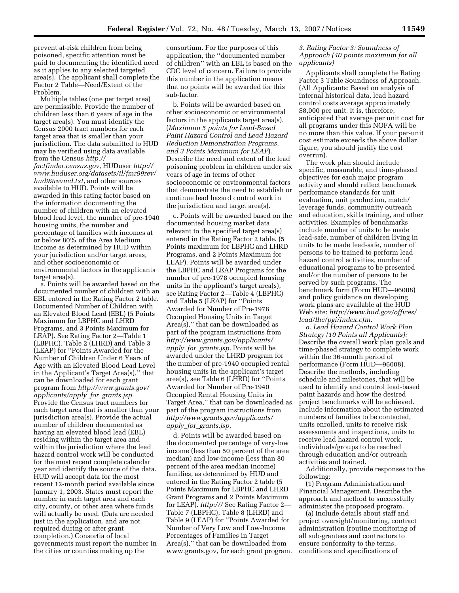prevent at-risk children from being poisoned, specific attention must be paid to documenting the identified need as it applies to any selected targeted area(s). The applicant shall complete the Factor 2 Table—Need/Extent of the Problem.

Multiple tables (one per target area) are permissible. Provide the number of children less than 6 years of age in the target area(s). You must identify the Census 2000 tract numbers for each target area that is smaller than your jurisdiction. The data submitted to HUD may be verified using data available from the Census *http:// factfinder.census.gov*, HUDuser *http:// www.huduser.org/datasets/il/fmr99rev/ hud99revmd.txt*, and other sources available to HUD. Points will be awarded in this rating factor based on the information documenting the number of children with an elevated blood lead level, the number of pre-1940 housing units, the number and percentage of families with incomes at or below 80% of the Area Medium Income as determined by HUD within your jurisdiction and/or target areas, and other socioeconomic or environmental factors in the applicants target area(s).

a. Points will be awarded based on the documented number of children with an EBL entered in the Rating Factor 2 table. Documented Number of Children with an Elevated Blood Lead (EBL) (5 Points Maximum for LBPHC and LHRD Programs, and 3 Points Maximum for LEAP). See Rating Factor 2—Table 1 (LBPHC), Table 2 (LHRD) and Table 3 (LEAP) for ''Points Awarded for the Number of Children Under 6 Years of Age with an Elevated Blood Lead Level in the Applicant's Target Area(s),'' that can be downloaded for each grant program from *http://www.grants.gov/ applicants/apply*\_*for*\_*grants.jsp.*  Provide the Census tract numbers for each target area that is smaller than your jurisdiction area(s). Provide the actual number of children documented as having an elevated blood lead (EBL) residing within the target area and within the jurisdiction where the lead hazard control work will be conducted for the most recent complete calendar year and identify the source of the data. HUD will accept data for the most recent 12-month period available since January 1, 2003. States must report the number in each target area and each city, county, or other area where funds will actually be used. (Data are needed just in the application, and are not required during or after grant completion.) Consortia of local governments must report the number in the cities or counties making up the

consortium. For the purposes of this application, the ''documented number of children'' with an EBL is based on the CDC level of concern. Failure to provide this number in the application means that no points will be awarded for this sub-factor.

b. Points will be awarded based on other socioeconomic or environmental factors in the applicants target area(s). (*Maximum 5 points for Lead-Based Paint Hazard Control and Lead Hazard Reduction Demonstration Programs, and 3 Points Maximum for LEAP*). Describe the need and extent of the lead poisoning problem in children under six years of age in terms of other socioeconomic or environmental factors that demonstrate the need to establish or continue lead hazard control work in the jurisdiction and target area(s).

c. Points will be awarded based on the documented housing market data relevant to the specified target area(s) entered in the Rating Factor 2 table. (5 Points maximum for LBPHC and LHRD Programs, and 2 Points Maximum for LEAP). Points will be awarded under the LBPHC and LEAP Programs for the number of pre-1978 occupied housing units in the applicant's target area(s), see Rating Factor 2—Table 4 (LBPHC) and Table 5 (LEAP) for ''Points Awarded for Number of Pre-1978 Occupied Housing Units in Target Area(s),'' that can be downloaded as part of the program instructions from *http://www.grants.gov/applicants/ apply*\_*for*\_*grants.jsp.* Points will be awarded under the LHRD program for the number of pre-1940 occupied rental housing units in the applicant's target area(s), see Table 6 (LHRD) for ''Points Awarded for Number of Pre-1940 Occupied Rental Housing Units in Target Area,'' that can be downloaded as part of the program instructions from *http://www.grants.gov/applicants/ apply*\_*for*\_*grants.jsp.* 

d. Points will be awarded based on the documented percentage of very-low income (less than 50 percent of the area median) and low-income (less than 80 percent of the area median income) families, as determined by HUD and entered in the Rating Factor 2 table (5 Points Maximum for LBPHC and LHRD Grant Programs and 2 Points Maximum for LEAP). *http:///* See Rating Factor 2— Table 7 (LBPHC), Table 8 (LHRD) and Table 9 (LEAP) for ''Points Awarded for Number of Very Low and Low-Income Percentages of Families in Target Area(s),'' that can be downloaded from www.grants.gov, for each grant program.

## *3. Rating Factor 3: Soundness of Approach (40 points maximum for all applicants)*

Applicants shall complete the Rating Factor 3 Table Soundness of Approach. (All Applicants: Based on analysis of internal historical data, lead hazard control costs average approximately \$8,000 per unit. It is, therefore, anticipated that average per unit cost for all programs under this NOFA will be no more than this value. If your per-unit cost estimate exceeds the above dollar figure, you should justify the cost overrun).

The work plan should include specific, measurable, and time-phased objectives for each major program activity and should reflect benchmark performance standards for unit evaluation, unit production, match/ leverage funds, community outreach and education, skills training, and other activities. Examples of benchmarks include number of units to be made lead-safe, number of children living in units to be made lead-safe, number of persons to be trained to perform lead hazard control activities, number of educational programs to be presented and/or the number of persons to be served by such programs. The benchmark form (Form HUD—96008) and policy guidance on developing work plans are available at the HUD Web site: *http://www.hud.gov/offices/ lead/lhc/pgi/index.cfm.* 

*a. Lead Hazard Control Work Plan Strategy (10 Points all Applicants):*  Describe the overall work plan goals and time-phased strategy to complete work within the 36-month period of performance (Form HUD—96008). Describe the methods, including schedule and milestones, that will be used to identify and control lead-based paint hazards and how the desired project benchmarks will be achieved. Include information about the estimated numbers of families to be contacted, units enrolled, units to receive risk assessments and inspections, units to receive lead hazard control work, individuals/groups to be reached through education and/or outreach activities and trained.

Additionally, provide responses to the following:

(1) Program Administration and Financial Management. Describe the approach and method to successfully administer the proposed program.

(a) Include details about staff and project oversight/monitoring, contract administration (routine monitoring of all sub-grantees and contractors to ensure conformity to the terms, conditions and specifications of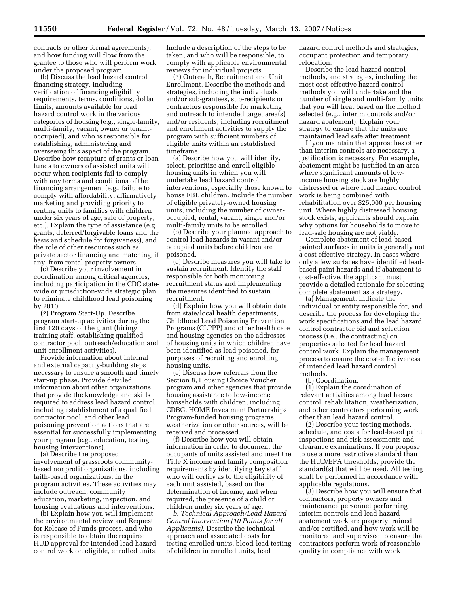contracts or other formal agreements), and how funding will flow from the grantee to those who will perform work under the proposed program.

(b) Discuss the lead hazard control financing strategy, including verification of financing eligibility requirements, terms, conditions, dollar limits, amounts available for lead hazard control work in the various categories of housing (e.g., single-family, multi-family, vacant, owner or tenantoccupied), and who is responsible for establishing, administering and overseeing this aspect of the program. Describe how recapture of grants or loan funds to owners of assisted units will occur when recipients fail to comply with any terms and conditions of the financing arrangement (e.g., failure to comply with affordability, affirmatively marketing and providing priority to renting units to families with children under six years of age, sale of property, etc.). Explain the type of assistance (e.g. grants, deferred/forgivable loans and the basis and schedule for forgiveness), and the role of other resources such as private sector financing and matching, if any, from rental property owners.

(c) Describe your involvement in coordination among critical agencies, including participation in the CDC statewide or jurisdiction-wide strategic plan to eliminate childhood lead poisoning by 2010.

(2) Program Start-Up. Describe program start-up activities during the first 120 days of the grant (hiring/ training staff, establishing qualified contractor pool, outreach/education and unit enrollment activities).

Provide information about internal and external capacity-building steps necessary to ensure a smooth and timely start-up phase. Provide detailed information about other organizations that provide the knowledge and skills required to address lead hazard control, including establishment of a qualified contractor pool, and other lead poisoning prevention actions that are essential for successfully implementing your program (e.g., education, testing, housing interventions).

(a) Describe the proposed involvement of grassroots communitybased nonprofit organizations, including faith-based organizations, in the program activities. These activities may include outreach, community education, marketing, inspection, and housing evaluations and interventions.

(b) Explain how you will implement the environmental review and Request for Release of Funds process, and who is responsible to obtain the required HUD approval for intended lead hazard control work on eligible, enrolled units.

Include a description of the steps to be taken, and who will be responsible, to comply with applicable environmental reviews for individual projects.

(3) Outreach, Recruitment and Unit Enrollment. Describe the methods and strategies, including the individuals and/or sub-grantees, sub-recipients or contractors responsible for marketing and outreach to intended target area(s) and/or residents, including recruitment and enrollment activities to supply the program with sufficient numbers of eligible units within an established timeframe.

(a) Describe how you will identify, select, prioritize and enroll eligible housing units in which you will undertake lead hazard control interventions, especially those known to house EBL children. Include the number of eligible privately-owned housing units, including the number of owneroccupied, rental, vacant, single and/or multi-family units to be enrolled.

(b) Describe your planned approach to control lead hazards in vacant and/or occupied units before children are poisoned.

(c) Describe measures you will take to sustain recruitment. Identify the staff responsible for both monitoring recruitment status and implementing the measures identified to sustain recruitment.

(d) Explain how you will obtain data from state/local health departments, Childhood Lead Poisoning Prevention Programs (CLPPP) and other health care and housing agencies on the addresses of housing units in which children have been identified as lead poisoned, for purposes of recruiting and enrolling housing units.

(e) Discuss how referrals from the Section 8, Housing Choice Voucher program and other agencies that provide housing assistance to low-income households with children, including CDBG, HOME Investment Partnerships Program-funded housing programs, weatherization or other sources, will be received and processed.

(f) Describe how you will obtain information in order to document the occupants of units assisted and meet the Title X income and family composition requirements by identifying key staff who will certify as to the eligibility of each unit assisted, based on the determination of income, and when required, the presence of a child or children under six years of age.

*b. Technical Approach/Lead Hazard Control Intervention (10 Points for all Applicants).* Describe the technical approach and associated costs for testing enrolled units, blood-lead testing of children in enrolled units, lead

hazard control methods and strategies, occupant protection and temporary relocation.

Describe the lead hazard control methods, and strategies, including the most cost-effective hazard control methods you will undertake and the number of single and multi-family units that you will treat based on the method selected (e.g., interim controls and/or hazard abatement). Explain your strategy to ensure that the units are maintained lead safe after treatment.

If you maintain that approaches other than interim controls are necessary, a justification is necessary. For example, abatement might be justified in an area where significant amounts of lowincome housing stock are highly distressed or where lead hazard control work is being combined with rehabilitation over \$25,000 per housing unit. Where highly distressed housing stock exists, applicants should explain why options for households to move to lead-safe housing are not viable.

Complete abatement of lead-based painted surfaces in units is generally not a cost effective strategy. In cases where only a few surfaces have identified leadbased paint hazards and if abatement is cost-effective, the applicant must provide a detailed rationale for selecting complete abatement as a strategy.

(a) Management. Indicate the individual or entity responsible for, and describe the process for developing the work specifications and the lead hazard control contractor bid and selection process (i.e., the contracting) on properties selected for lead hazard control work. Explain the management process to ensure the cost-effectiveness of intended lead hazard control methods.

(b) Coordination.

(1) Explain the coordination of relevant activities among lead hazard control, rehabilitation, weatherization, and other contractors performing work other than lead hazard control.

(2) Describe your testing methods, schedule, and costs for lead-based paint inspections and risk assessments and clearance examinations. If you propose to use a more restrictive standard than the HUD/EPA thresholds, provide the standard(s) that will be used. All testing shall be performed in accordance with applicable regulations.

(3) Describe how you will ensure that contractors, property owners and maintenance personnel performing interim controls and lead hazard abatement work are properly trained and/or certified, and how work will be monitored and supervised to ensure that contractors perform work of reasonable quality in compliance with work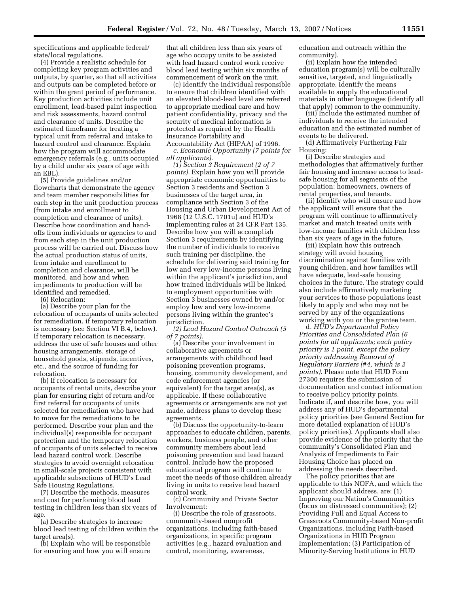specifications and applicable federal/ state/local regulations.

(4) Provide a realistic schedule for completing key program activities and outputs, by quarter, so that all activities and outputs can be completed before or within the grant period of performance. Key production activities include unit enrollment, lead-based paint inspection and risk assessments, hazard control and clearance of units. Describe the estimated timeframe for treating a typical unit from referral and intake to hazard control and clearance. Explain how the program will accommodate emergency referrals (e.g., units occupied by a child under six years of age with an EBL).

(5) Provide guidelines and/or flowcharts that demonstrate the agency and team member responsibilities for each step in the unit production process (from intake and enrollment to completion and clearance of units). Describe how coordination and handoffs from individuals or agencies to and from each step in the unit production process will be carried out. Discuss how the actual production status of units, from intake and enrollment to completion and clearance, will be monitored, and how and when impediments to production will be identified and remedied.

(6) Relocation:

(a) Describe your plan for the relocation of occupants of units selected for remediation, if temporary relocation is necessary (see Section VI B.4, below). If temporary relocation is necessary, address the use of safe houses and other housing arrangements, storage of household goods, stipends, incentives, etc., and the source of funding for relocation.

(b) If relocation is necessary for occupants of rental units, describe your plan for ensuring right of return and/or first referral for occupants of units selected for remediation who have had to move for the remediations to be performed. Describe your plan and the individual(s) responsible for occupant protection and the temporary relocation of occupants of units selected to receive lead hazard control work. Describe strategies to avoid overnight relocation in small-scale projects consistent with applicable subsections of HUD's Lead Safe Housing Regulations.

(7) Describe the methods, measures and cost for performing blood lead testing in children less than six years of age.

(a) Describe strategies to increase blood lead testing of children within the target area(s).

(b) Explain who will be responsible for ensuring and how you will ensure that all children less than six years of age who occupy units to be assisted with lead hazard control work receive blood lead testing within six months of commencement of work on the unit.

(c) Identify the individual responsible to ensure that children identified with an elevated blood-lead level are referred to appropriate medical care and how patient confidentiality, privacy and the security of medical information is protected as required by the Health Insurance Portability and Accountability Act (HIPAA) of 1996.

*c. Economic Opportunity (7 points for all applicants).* 

*(1) Section 3 Requirement (2 of 7 points).* Explain how you will provide appropriate economic opportunities to Section 3 residents and Section 3 businesses of the target area, in compliance with Section 3 of the Housing and Urban Development Act of 1968 (12 U.S.C. 1701u) and HUD's implementing rules at 24 CFR Part 135. Describe how you will accomplish Section 3 requirements by identifying the number of individuals to receive such training per discipline, the schedule for delivering said training for low and very low-income persons living within the applicant's jurisdiction, and how trained individuals will be linked to employment opportunities with Section 3 businesses owned by and/or employ low and very low-income persons living within the grantee's jurisdiction.

*(2) Lead Hazard Control Outreach (5 of 7 points).* 

(a) Describe your involvement in collaborative agreements or arrangements with childhood lead poisoning prevention programs, housing, community development, and code enforcement agencies (or equivalent) for the target area(s), as applicable. If these collaborative agreements or arrangements are not yet made, address plans to develop these agreements.

(b) Discuss the opportunity-to-learn approaches to educate children, parents, workers, business people, and other community members about lead poisoning prevention and lead hazard control. Include how the proposed educational program will continue to meet the needs of those children already living in units to receive lead hazard control work.

(c) Community and Private Sector Involvement:

(i) Describe the role of grassroots, community-based nonprofit organizations, including faith-based organizations, in specific program activities (e.g., hazard evaluation and control, monitoring, awareness,

education and outreach within the community).

(ii) Explain how the intended education program(s) will be culturally sensitive, targeted, and linguistically appropriate. Identify the means available to supply the educational materials in other languages (identify all that apply) common to the community.

(iii) Include the estimated number of individuals to receive the intended education and the estimated number of events to be delivered.

(d) Affirmatively Furthering Fair Housing:

(i) Describe strategies and methodologies that affirmatively further fair housing and increase access to leadsafe housing for all segments of the population: homeowners, owners of rental properties, and tenants.

(ii) Identify who will ensure and how the applicant will ensure that the program will continue to affirmatively market and match treated units with low-income families with children less than six years of age in the future.

(iii) Explain how this outreach strategy will avoid housing discrimination against families with young children, and how families will have adequate, lead-safe housing choices in the future. The strategy could also include affirmatively marketing your services to those populations least likely to apply and who may not be served by any of the organizations working with you or the grantee team.

d*. HUD's Departmental Policy Priorities and Consolidated Plan (6 points for all applicants; each policy priority is 1 point, except the policy priority addressing Removal of Regulatory Barriers (#4, which is 2 points).* Please note that HUD Form 27300 requires the submission of documentation and contact information to receive policy priority points. Indicate if, and describe how, you will address any of HUD's departmental policy priorities (see General Section for more detailed explanation of HUD's policy priorities). Applicants shall also provide evidence of the priority that the community's Consolidated Plan and Analysis of Impediments to Fair Housing Choice has placed on addressing the needs described.

The policy priorities that are applicable to this NOFA, and which the applicant should address, are: (1) Improving our Nation's Communities (focus on distressed communities); (2) Providing Full and Equal Access to Grassroots Community-based Non-profit Organizations, including Faith-based Organizations in HUD Program Implementation; (3) Participation of Minority-Serving Institutions in HUD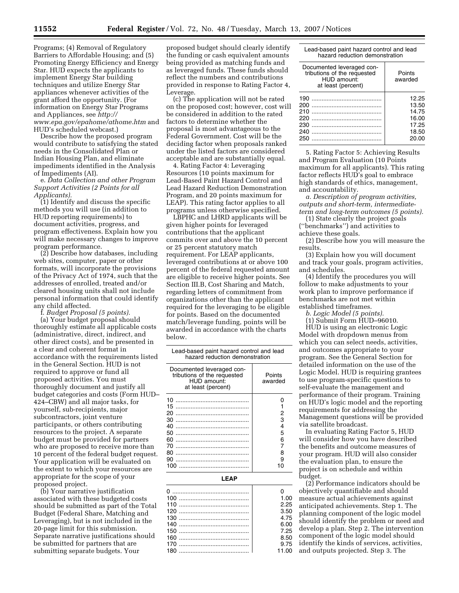Programs; (4) Removal of Regulatory Barriers to Affordable Housing; and (5) Promoting Energy Efficiency and Energy Star. HUD expects the applicants to implement Energy Star building techniques and utilize Energy Star appliances whenever activities of the grant afford the opportunity. (For information on Energy Star Programs and Appliances, see *http:// www.epa.gov/epahome/athome.htm* and HUD's scheduled webcast.)

Describe how the proposed program would contribute to satisfying the stated needs in the Consolidated Plan or Indian Housing Plan, and eliminate impediments identified in the Analysis of Impediments (AI).

e. *Data Collection and other Program Support Activities (2 Points for all Applicants).* 

(1) Identify and discuss the specific methods you will use (in addition to HUD reporting requirements) to document activities, progress, and program effectiveness. Explain how you will make necessary changes to improve program performance.

(2) Describe how databases, including web sites, computer, paper or other formats, will incorporate the provisions of the Privacy Act of 1974, such that the addresses of enrolled, treated and/or cleared housing units shall not include personal information that could identify any child affected.

f. *Budget Proposal (5 points).*  (a) Your budget proposal should thoroughly estimate all applicable costs (administrative, direct, indirect, and other direct costs), and be presented in a clear and coherent format in accordance with the requirements listed in the General Section. HUD is not required to approve or fund all proposed activities. You must thoroughly document and justify all budget categories and costs (Form HUD– 424–CBW) and all major tasks, for yourself, sub-recipients, major subcontractors, joint venture participants, or others contributing resources to the project. A separate budget must be provided for partners who are proposed to receive more than 10 percent of the federal budget request. Your application will be evaluated on the extent to which your resources are appropriate for the scope of your proposed project.

(b) Your narrative justification associated with these budgeted costs should be submitted as part of the Total Budget (Federal Share, Matching and Leveraging), but is not included in the 20-page limit for this submission. Separate narrative justifications should be submitted for partners that are submitting separate budgets. Your

proposed budget should clearly identify the funding or cash equivalent amounts being provided as matching funds and as leveraged funds. These funds should reflect the numbers and contributions provided in response to Rating Factor 4, Leverage.

(c) The application will not be rated on the proposed cost; however, cost will be considered in addition to the rated factors to determine whether the proposal is most advantageous to the Federal Government. Cost will be the deciding factor when proposals ranked under the listed factors are considered acceptable and are substantially equal.

4. Rating Factor 4: Leveraging Resources (10 points maximum for Lead-Based Paint Hazard Control and Lead Hazard Reduction Demonstration Program, and 20 points maximum for LEAP). This rating factor applies to all programs unless otherwise specified.

LBPHC and LHRD applicants will be given higher points for leveraged contributions that the applicant commits over and above the 10 percent or 25 percent statutory match requirement. For LEAP applicants, leveraged contributions at or above 100 percent of the federal requested amount are eligible to receive higher points. See Section III.B, Cost Sharing and Match, regarding letters of commitment from organizations other than the applicant required for the leveraging to be eligible for points. Based on the documented match/leverage funding, points will be awarded in accordance with the charts below.

| Lead-based paint hazard control and lead<br>hazard reduction demonstration                    |                                       |  |  |  |
|-----------------------------------------------------------------------------------------------|---------------------------------------|--|--|--|
| Documented leveraged con-<br>tributions of the requested<br>HUD amount:<br>at least (percent) | Points<br>awarded                     |  |  |  |
| 10<br>15<br>20<br>30<br>40<br>50<br>60<br>70<br>80<br>90<br>100                               | 2<br>з<br>4<br>5<br>6<br>8<br>9<br>10 |  |  |  |
|                                                                                               |                                       |  |  |  |

**LEAP** 

| 1.00  |
|-------|
| 2.25  |
| 3.50  |
| 475   |
| 6.00  |
| 7.25  |
| 8.50  |
| 9.75  |
| 11.00 |

Lead-based paint hazard control and lead hazard reduction demonstration

| Documented leveraged con-<br>tributions of the requested<br>HUD amount:<br>at least (percent) | Points<br>awarded                                           |
|-----------------------------------------------------------------------------------------------|-------------------------------------------------------------|
| 190<br>200<br>210<br>220<br>230<br>240<br>250                                                 | 12.25<br>13.50<br>14.75<br>16.00<br>17.25<br>18.50<br>20.00 |

5. Rating Factor 5: Achieving Results and Program Evaluation (10 Points maximum for all applicants). This rating factor reflects HUD's goal to embrace high standards of ethics, management, and accountability.

*a. Description of program activities, outputs and short-term, intermediateterm and long-term outcomes (5 points).* 

(1) State clearly the project goals (''benchmarks'') and activities to achieve these goals.

(2) Describe how you will measure the results.

(3) Explain how you will document and track your goals, program activities, and schedules.

(4) Identify the procedures you will follow to make adjustments to your work plan to improve performance if benchmarks are not met within established timeframes.

*b. Logic Model (5 points).* 

(1) Submit Form HUD–96010.

HUD is using an electronic Logic Model with dropdown menus from which you can select needs, activities, and outcomes appropriate to your program. See the General Section for detailed information on the use of the Logic Model. HUD is requiring grantees to use program-specific questions to self-evaluate the management and performance of their program. Training on HUD's logic model and the reporting requirements for addressing the Management questions will be provided via satellite broadcast.

In evaluating Rating Factor 5, HUD will consider how you have described the benefits and outcome measures of your program. HUD will also consider the evaluation plan, to ensure the project is on schedule and within budget.

(2) Performance indicators should be objectively quantifiable and should measure actual achievements against anticipated achievements. Step 1. The planning component of the logic model should identify the problem or need and develop a plan. Step 2. The intervention component of the logic model should identify the kinds of services, activities, and outputs projected. Step 3. The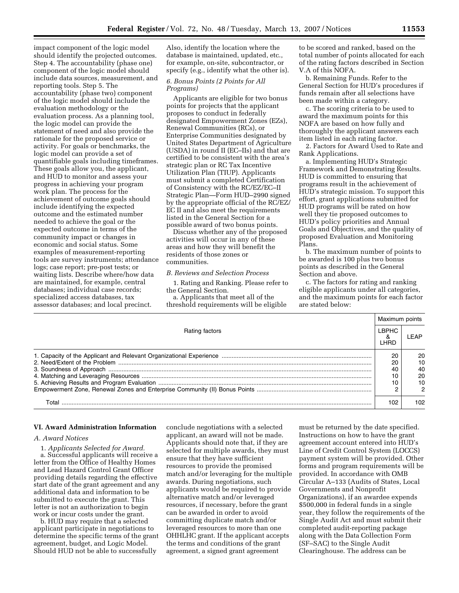impact component of the logic model should identify the projected outcomes. Step 4. The accountability (phase one) component of the logic model should include data sources, measurement, and reporting tools. Step 5. The accountability (phase two) component of the logic model should include the evaluation methodology or the evaluation process. As a planning tool, the logic model can provide the statement of need and also provide the rationale for the proposed service or activity. For goals or benchmarks, the logic model can provide a set of quantifiable goals including timeframes. These goals allow you, the applicant, and HUD to monitor and assess your progress in achieving your program work plan. The process for the achievement of outcome goals should include identifying the expected outcome and the estimated number needed to achieve the goal or the expected outcome in terms of the community impact or changes in economic and social status. Some examples of measurement-reporting tools are survey instruments; attendance logs; case report; pre-post tests; or waiting lists. Describe where/how data are maintained, for example, central databases; individual case records; specialized access databases, tax assessor databases; and local precinct.

Also, identify the location where the database is maintained, updated, etc., for example, on-site, subcontractor, or specify (e.g., identify what the other is).

#### *6. Bonus Points (2 Points for All Programs)*

Applicants are eligible for two bonus points for projects that the applicant proposes to conduct in federally designated Empowerment Zones (EZs), Renewal Communities (RCs), or Enterprise Communities designated by United States Department of Agriculture (USDA) in round II (EC–IIs) and that are certified to be consistent with the area's strategic plan or RC Tax Incentive Utilization Plan (TIUP). Applicants must submit a completed Certification of Consistency with the RC/EZ/EC–II Strategic Plan—Form HUD–2990 signed by the appropriate official of the RC/EZ/ EC II and also meet the requirements listed in the General Section for a possible award of two bonus points.

Discuss whether any of the proposed activities will occur in any of these areas and how they will benefit the residents of those zones or communities.

## *B. Reviews and Selection Process*

1. Rating and Ranking. Please refer to the General Section.

a. Applicants that meet all of the threshold requirements will be eligible to be scored and ranked, based on the total number of points allocated for each of the rating factors described in Section V.A of this NOFA.

b. Remaining Funds. Refer to the General Section for HUD's procedures if funds remain after all selections have been made within a category.

c. The scoring criteria to be used to award the maximum points for this NOFA are based on how fully and thoroughly the applicant answers each item listed in each rating factor.

2. Factors for Award Used to Rate and Rank Applications.

a. Implementing HUD's Strategic Framework and Demonstrating Results. HUD is committed to ensuring that programs result in the achievement of HUD's strategic mission. To support this effort, grant applications submitted for HUD programs will be rated on how well they tie proposed outcomes to HUD's policy priorities and Annual Goals and Objectives, and the quality of proposed Evaluation and Monitoring Plans.

b. The maximum number of points to be awarded is 100 plus two bonus points as described in the General Section and above.

c. The factors for rating and ranking eligible applicants under all categories, and the maximum points for each factor are stated below:

| Rating factors |     | Maximum points |  |
|----------------|-----|----------------|--|
|                |     | I FAP          |  |
|                | 20  | 20             |  |
|                |     | 10             |  |
|                |     | 40             |  |
|                |     | 20             |  |
|                |     | 10             |  |
|                |     |                |  |
| Total          | 102 | 102            |  |

## **VI. Award Administration Information**

### *A. Award Notices*

1. *Applicants Selected for Award.*  a. Successful applicants will receive a letter from the Office of Healthy Homes and Lead Hazard Control Grant Officer providing details regarding the effective start date of the grant agreement and any additional data and information to be submitted to execute the grant. This letter is not an authorization to begin work or incur costs under the grant.

b. HUD may require that a selected applicant participate in negotiations to determine the specific terms of the grant agreement, budget, and Logic Model. Should HUD not be able to successfully

conclude negotiations with a selected applicant, an award will not be made. Applicants should note that, if they are selected for multiple awards, they must ensure that they have sufficient resources to provide the promised match and/or leveraging for the multiple awards. During negotiations, such applicants would be required to provide alternative match and/or leveraged resources, if necessary, before the grant can be awarded in order to avoid committing duplicate match and/or leveraged resources to more than one OHHLHC grant. If the applicant accepts the terms and conditions of the grant agreement, a signed grant agreement

must be returned by the date specified. Instructions on how to have the grant agreement account entered into HUD's Line of Credit Control System (LOCCS) payment system will be provided. Other forms and program requirements will be provided. In accordance with OMB Circular A–133 (Audits of States, Local Governments and Nonprofit Organizations), if an awardee expends \$500,000 in federal funds in a single year, they follow the requirements of the Single Audit Act and must submit their completed audit-reporting package along with the Data Collection Form (SF–SAC) to the Single Audit Clearinghouse. The address can be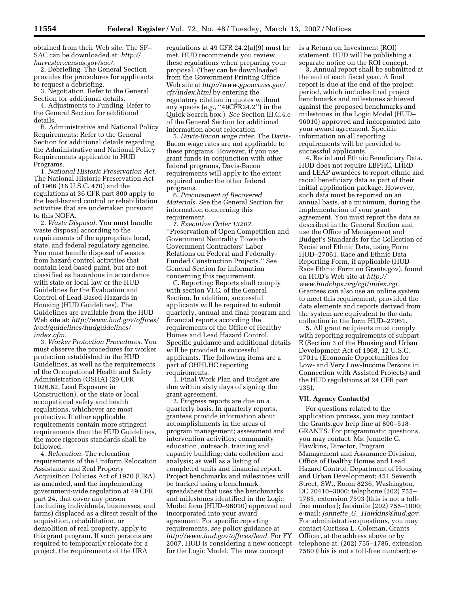obtained from their Web site. The SF– SAC can be downloaded at: *http:// harvester.census.gov/sac/.* 

2. Debriefing. The General Section provides the procedures for applicants to request a debriefing.

3. Negotiation. Refer to the General Section for additional details. 4. Adjustments to Funding. Refer to the General Section for additional

details. B. Administrative and National Policy Requirements: Refer to the General Section for additional details regarding the Administrative and National Policy Requirements applicable to HUD Programs.

1. *National Historic Preservation Act.*  The National Historic Preservation Act of 1966 (16 U.S.C. 470) and the regulations at 36 CFR part 800 apply to the lead-hazard control or rehabilitation activities that are undertaken pursuant to this NOFA.

2. *Waste Disposal.* You must handle waste disposal according to the requirements of the appropriate local, state, and federal regulatory agencies. You must handle disposal of wastes from hazard control activities that contain lead-based paint, but are not classified as hazardous in accordance with state or local law or the HUD Guidelines for the Evaluation and Control of Lead-Based Hazards in Housing (HUD Guidelines). The Guidelines are available from the HUD Web site at: *http://www.hud.gov/offices/ lead/guidelines/hudguidelines/ index.cfm.* 

3. *Worker Protection Procedures.* You must observe the procedures for worker protection established in the HUD Guidelines, as well as the requirements of the Occupational Health and Safety Administration (OSHA) (29 CFR 1926.62, Lead Exposure in Construction), or the state or local occupational safety and health regulations, whichever are most protective. If other applicable requirements contain more stringent requirements than the HUD Guidelines, the more rigorous standards shall be followed.

4. *Relocation.* The relocation requirements of the Uniform Relocation Assistance and Real Property Acquisition Policies Act of 1970 (URA), as amended, and the implementing government-wide regulation at 49 CFR part 24, that cover any person (including individuals, businesses, and farms) displaced as a direct result of the acquisition, rehabilitation, or demolition of real property, apply to this grant program. If such persons are required to temporarily relocate for a project, the requirements of the URA

regulations at 49 CFR 24.2(a)(9) must be met. HUD recommends you review these regulations when preparing your proposal. (They can be downloaded from the Government Printing Office Web site at *http://www.gpoaccess.gov/ cfr/index.html* by entering the regulatory citation in quotes without any spaces (*e.g.*, ''49CFR24.2'') in the Quick Search box.). *See* Section III.C.4.e of the General Section for additional information about relocation.

5. *Davis-Bacon wage rates.* The Davis-Bacon wage rates are not applicable to these programs. However, if you use grant funds in conjunction with other federal programs, Davis-Bacon requirements will apply to the extent required under the other federal programs.

6. *Procurement of Recovered Materials.* See the General Section for information concerning this requirement.

7. *Executive Order 13202.*  ''Preservation of Open Competition and Government Neutrality Towards Government Contractors' Labor Relations on Federal and Federally-Funded Construction Projects.'' See General Section for information concerning this requirement.

C. Reporting: Reports shall comply with section VI.C. of the General Section. In addition, successful applicants will be required to submit quarterly, annual and final program and financial reports according the requirements of the Office of Healthy Homes and Lead Hazard Control. Specific guidance and additional details will be provided to successful applicants. The following items are a part of OHHLHC reporting requirements.

1. Final Work Plan and Budget are due within sixty days of signing the grant agreement.

2. Progress reports are due on a quarterly basis. In quarterly reports, grantees provide information about accomplishments in the areas of program management; assessment and intervention activities; community education, outreach, training and capacity building; data collection and analysis; as well as a listing of completed units and financial report. Project benchmarks and milestones will be tracked using a benchmark spreadsheet that uses the benchmarks and milestones identified in the Logic Model form (HUD–96010) approved and incorporated into your award agreement. For specific reporting requirements, *see* policy guidance at *http://www.hud.gov/offices/lead.* For FY 2007, HUD is considering a new concept for the Logic Model. The new concept

is a Return on Investment (ROI) statement. HUD will be publishing a separate notice on the ROI concept.

3. Annual report shall be submitted at the end of each fiscal year. A final report is due at the end of the project period, which includes final project benchmarks and milestones achieved against the proposed benchmarks and milestones in the Logic Model (HUD– 96010) approved and incorporated into your award agreement. Specific information on all reporting requirements will be provided to successful applicants.

4. Racial and Ethnic Beneficiary Data. HUD does not require LBPHC, LHRD and LEAP awardees to report ethnic and racial beneficiary data as part of their initial application package. However, such data must be reported on an annual basis, at a minimum, during the implementation of your grant agreement. You must report the data as described in the General Section and use the Office of Management and Budget's Standards for the Collection of Racial and Ethnic Data, using Form HUD–27061, Race and Ethnic Data Reporting Form, if applicable (HUD Race Ethnic Form on Grants.gov), found on HUD's Web site at *http:// www.hudclips.org/cgi/index.cgi.*  Grantees can also use an online system to meet this requirement, provided the data elements and reports derived from the system are equivalent to the data collection in the form HUD–27061.

5. All grant recipients must comply with reporting requirements of subpart E (Section 3 of the Housing and Urban Development Act of 1968, 12 U.S.C. 1701u (Economic Opportunities for Low- and Very Low-Income Persons in Connection with Assisted Projects) and the HUD regulations at 24 CFR part 135).

#### **VII. Agency Contact(s)**

For questions related to the application process, you may contact the Grants.gov help line at 800–518- GRANTS. For programmatic questions, you may contact: Ms. Jonnette G. Hawkins, Director, Program Management and Assurance Division, Office of Healthy Homes and Lead Hazard Control: Department of Housing and Urban Development; 451 Seventh Street, SW., Room 8236, Washington, DC 20410–3000; telephone (202) 755– 1785, extension 7593 (this is not a tollfree number); facsimile (202) 755–1000; e-mail: *Jonnette*\_*G.*\_*Hawkins@hud.gov.*  For administrative questions, you may contact Curtissa L. Coleman, Grants Officer, at the address above or by telephone at: (202) 755–1785, extension 7580 (this is not a toll-free number); e